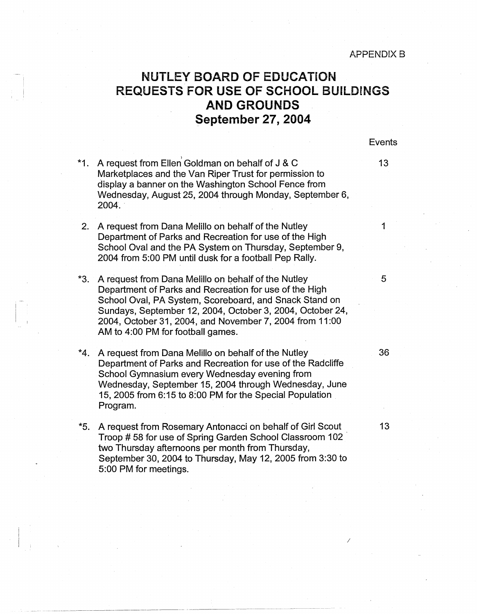## **NUTLEY BOARD OF EDUCATION REQUESTS FOR USE OF SCHOOL BUILDINGS AND GROUNDS ~eptember 27, 2004**

| *1. A request from Ellen Goldman on behalf of J & C     | 13. |
|---------------------------------------------------------|-----|
| Marketplaces and the Van Riper Trust for permission to  |     |
| display a banner on the Washington School Fence from    |     |
| Wednesday, August 25, 2004 through Monday, September 6, |     |
| 2004.                                                   |     |
|                                                         |     |

i I I

I-I

- 2. A request from Dana Melillo on behalf of the Nutley 1994 1994 1994 Department of Parks and Recreation for use of the High School Oval and the PA System on Thursday, September 9, 2004 from 5:00 PM until dusk for a football Pep Rally.
- \*3. A request from Dana Melillo on behalf of the Nutley  $\sim$  5 Department of Parks and Recreation for use of the High School Oval, PA System, Scoreboard, and Snack Stand on Sundays, September 12, 2004, October 3, 2004, October 24, 2004, October 31, 2004, and November 7, 2004' from 11 :00 AM to 4:00 PM for football games.
- \*4. A request from Dana Melillo on behalf of the Nutley 36 Department of Parks and Recreation for use of the Radcliffe School Gymnasium every Wednesday evening from Wednesday, September 15, 2004 through Wednesday, June 15, 2005 from 6:15 to 8:00 PM for the Special Population Program.
- \*5. A request from Rosemary Antonacci on behalf of Girl Scout 13 Troop # 58 for use of Spring Garden School Classroom 102 two Thursday afternoons per month from Thursday, September 30, 2004 to Thursday, May 12, 2005 from 3:30 to 5:00 PM for meetings.

Events

*I*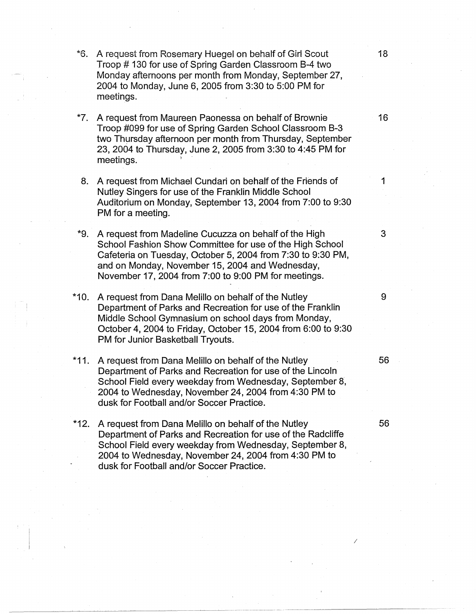- \*6. A request from Rosemary Huegel on behalf of Girl Scout 18 Troop # 130 for use of Spring Garden Classroom B-4 two Monday afternoons per month from Monday, September 27, 2004 to Monday, June 6, 2005 from 3:30 to 5:00 PM for meetings.
- \*7. A request from Maureen Paonessa on behalf of Brownie 16 Troop #099 for use of Spring Garden School Classroom B-3 two Thursday afternoon per month from Thursday, September 23, 2004 to Thursday, June 2, 2005 from 3:30 to 4:45 PM for meetings.
- 8. A request from Michael Cundari on behalf of the Friends of 1 Nutley Singers for use of the Franklin Middle School Auditorium on Monday, September 13, 2004 from 7:00 to 9:30 PM for a meeting.
- \*9. A request from Madeline Cucuzza on behalf of the High 3 School Fashion Show Committee for use of the High School Cafeteria on Tuesday, October 5, 2004 from 7:30 to 9:30 PM, and on Monday, November 15, 2004 and Wednesday, November 17, 2004 from 7:00 to 9:00 PM for meetings.
- \*10. A request from Dana Melillo on behalf of the Nutley 9 Department of Parks and Recreation for use of the Franklin Middle School Gymnasium on school days from Monday, October 4, 2004 to Friday, October 15, 2004 from 6:00 to 9:30 PM for Junior Basketball Tryouts.
- \*11. A request from Dana Melillo on behalf of the Nutley 56 Department of Parks and Recreation for use of the Lincoln School Field every weekday from Wednesday, September 8, 2004 to Wednesday, November 24, 2004 from 4:30 PM to dusk for Football and/or Soccer Practice.
- \*12. A request from Dana Melillo on behalf of the Nutley 56 Department of Parks and Recreation for use of the Radcliffe School Field every weekday from Wednesday, September 8, 2004 to Wednesday, November 24, 2004 from 4:30 PM to dusk for Football and/or Soccer Practice.

/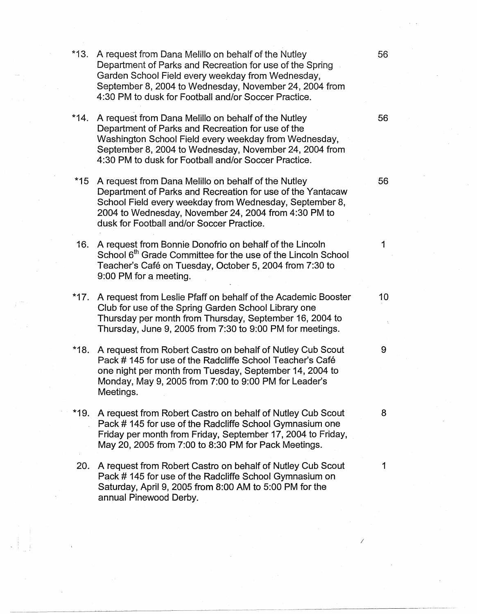\*13. A request from Dana Melillo on behalf of the Nutley 56 Department of Parks and Recreation for use of the Spring Garden School Field every weekday from Wednesday, September 8, 2004 to Wednesday, November 24, 2004 from 4:30 PM to dusk for Football and/or Soccer Practice. \*14. A request from Dana Melillo on behalf of the Nutley 56 Department of Parks and Recreation for use of the Washington School Field every weekday from Wednesday, September 8, 2004 to Wednesday, November 24, 2004 from 4:30 PM to dusk for Football and/or Soccer Practice. \*15 A request from Dana Melillo on behalf of the Nutley  $\sim$  56 Department of Parks and Recreation for use of the Yantacaw School Field every weekday from Wednesday, September 8, 2004 to Wednesday, November 24, 2004 from 4:30 PM to dusk for Football and/or Soccer Practice. 16. A request from Bonnie Donofrio on behalf of the Lincoln 1 School 6<sup>th</sup> Grade Committee for the use of the Lincoln School Teacher's Cafe on Tuesday, October 5, 2004 from 7:30 to 9:00 PM for a meeting. \*17. A request from Leslie Pfaff on behalf of the Academic Booster 10 Club for use of the Spring Garden School Library one Thursday per month from Thursday, September 16, 2004 to Thursday, June 9, 2005 from 7:30 to 9:00 PM for meetings. \*18. A request from Robert Castro on behalf of Nutley Cub Scout 9 Pack # 145 for use of the Radcliffe School Teacher's Café one night per month from Tuesday, September 14, 2004 to Monday, May 9, 2005 from 7:00 to 9:00 PM for Leader's Meetings. \*19. A request from Robert Castro on behalf of Nutley Cub Scout 8 Pack # 145 for use of the Radcliffe School Gymnasium one Friday per month from Friday, September 17, 2004 to Friday, May 20, 2005 from 7:00 to 8:30 PM for Pack Meetings. 20. A request from Robert Castro on behalf of Nutley Cub Scout 1 Pack # 145 for use of the Radcliffe School Gymnasium on

Saturday, April 9, 2005 from 8:00 AM to 5:00 PM for the

**I**- ; I<sub>I</sub>- ; I<sub>I</sub>- ; I<sub>I</sub>- ; I<sub>I</sub>- ; I<sub>I</sub>- ; I<sub>I</sub>- ; III- ; III- ; III- ; III- ; III- ; III- ; III- ; III- ; III- ; III- ; III- ; III- ; III- ; III- ; III- ; III- ; III- ; III- ; III- ; III- ; III- ; III- ; III- ; III- ;

annual Pinewood Derby.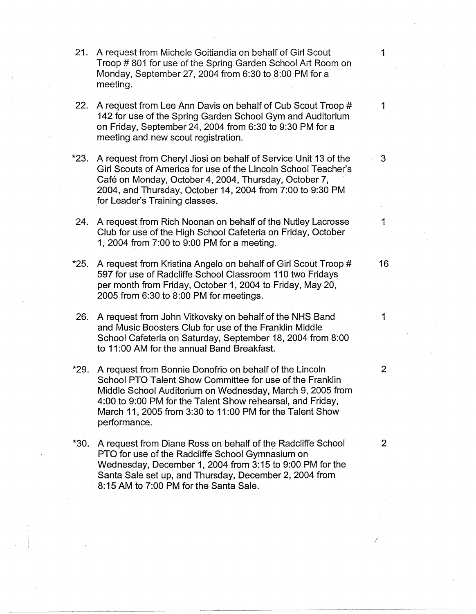- 21. A request from Michele Goitiandia on behalf of Girl Scout 1 Troop # 801 for use of the Spring Garden School Ati Room on Monday, September 27, 2004 from 6:30 to 8:00 PM for a meeting.
- 22. A request from Lee Ann Davis on behalf of Cub Scout Troop # 1 142 for use of the Spring Garden School Gym and Auditorium on Friday, September 24, 2004 from 6:30 to 9:30 PM for a meeting and new scout registration.
- \*23. A request from Cheryl Jiosi on behalf of Service Unit 13 of the 3 Girl Scouts of America for use of the Lincoln School Teacher's Café on Monday, October 4, 2004, Thursday, October 7, 2004, and Thursday, October 14, 2004 from 7:00 to 9:30 PM .for Leader's Training classes.
- 24. A request from Rich Noonan on behalf of the Nutley Lacrosse 1 Club for use of the High School Cafeteria on Friday, October 1, 2004 from 7:00 to 9:00 PM for a meeting.
- \*25. A request from Kristina Angelo on behalf of Girl Scout Troop # 16 597 for use of Radcliffe School Classroom 110 two Fridays per month from Friday, October 1, 2004 to Friday, May 20, 2005 from 6:30 to 8:00 PM for meetings.
- 26. A request from John Vitkovsky on behalf of the NHS Band 1 and Music Boosters Club for use of the Franklin Middle School Cafeteria on Saturday, September 18, 2004 from 8:00 to 11 :00 AM for the annual Band Breakfast.
- \*29. A request from Bonnie Donofrio on behalf of the Lincoln 2 School PTO Talent Show Committee for use of the Franklin Middle School Auditorium on Wednesday, March 9, 2005 from 4:00 to 9:00 PM for the Talent Show rehearsal, and Friday, March 11, 2005 from 3:30 to 11 :00 PM for the Talent Show performance.
- \*30. A request from Diane Ross on behalf of the Radcliffe School 2 PTO for use of the Radcliffe School Gymnasium on Wednesday, December 1, 2004 from 3:15 to 9:00 PM for the Santa Sale set up, and Thursday, December 2, 2004 from 8: 15 AM to 7:00 PM for the Santa Sale.

*I*